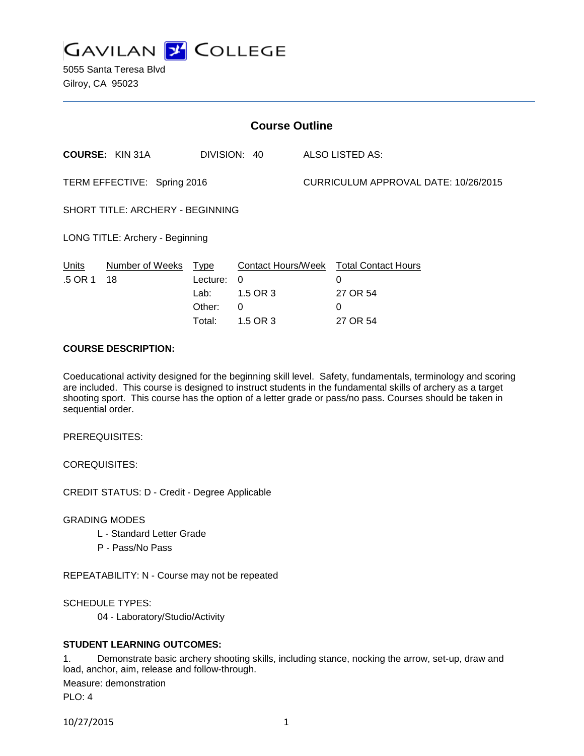

5055 Santa Teresa Blvd Gilroy, CA 95023

| <b>Course Outline</b>                   |                        |                                              |                                                             |                                      |                                                              |
|-----------------------------------------|------------------------|----------------------------------------------|-------------------------------------------------------------|--------------------------------------|--------------------------------------------------------------|
|                                         | <b>COURSE: KIN 31A</b> |                                              | DIVISION: 40                                                |                                      | ALSO LISTED AS:                                              |
| TERM EFFECTIVE: Spring 2016             |                        |                                              |                                                             | CURRICULUM APPROVAL DATE: 10/26/2015 |                                                              |
| <b>SHORT TITLE: ARCHERY - BEGINNING</b> |                        |                                              |                                                             |                                      |                                                              |
| LONG TITLE: Archery - Beginning         |                        |                                              |                                                             |                                      |                                                              |
| Units<br>.5 OR 1                        | Number of Weeks<br>18  | Type<br>Lecture:<br>Lab:<br>Other:<br>Total: | <b>Contact Hours/Week</b><br>0<br>1.5 OR 3<br>0<br>1.5 OR 3 |                                      | <b>Total Contact Hours</b><br>0<br>27 OR 54<br>0<br>27 OR 54 |

## **COURSE DESCRIPTION:**

Coeducational activity designed for the beginning skill level. Safety, fundamentals, terminology and scoring are included. This course is designed to instruct students in the fundamental skills of archery as a target shooting sport. This course has the option of a letter grade or pass/no pass. Courses should be taken in sequential order.

PREREQUISITES:

COREQUISITES:

CREDIT STATUS: D - Credit - Degree Applicable

GRADING MODES

- L Standard Letter Grade
- P Pass/No Pass

REPEATABILITY: N - Course may not be repeated

SCHEDULE TYPES:

04 - Laboratory/Studio/Activity

## **STUDENT LEARNING OUTCOMES:**

1. Demonstrate basic archery shooting skills, including stance, nocking the arrow, set-up, draw and load, anchor, aim, release and follow-through. Measure: demonstration PLO: 4

10/27/2015 1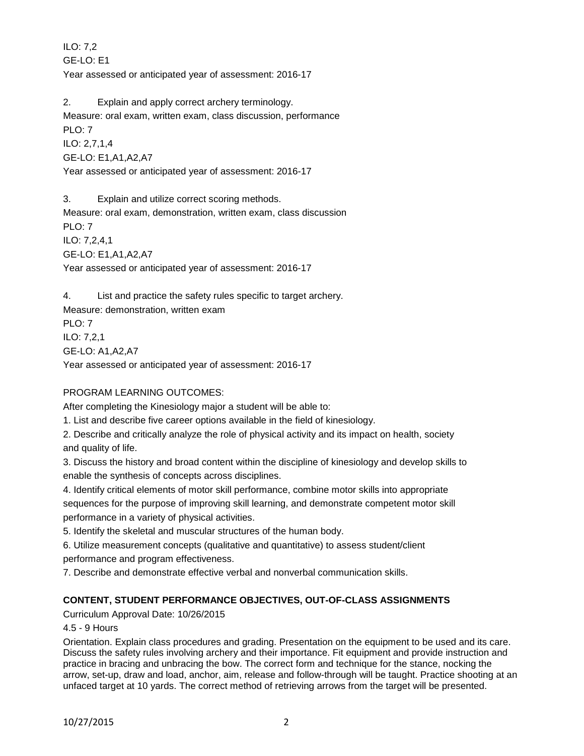ILO: 7,2 GE-LO: E1 Year assessed or anticipated year of assessment: 2016-17

2. Explain and apply correct archery terminology.

Measure: oral exam, written exam, class discussion, performance

PLO: 7

ILO: 2,7,1,4

GE-LO: E1,A1,A2,A7

Year assessed or anticipated year of assessment: 2016-17

3. Explain and utilize correct scoring methods.

Measure: oral exam, demonstration, written exam, class discussion

PLO: 7

ILO: 7,2,4,1

GE-LO: E1,A1,A2,A7

Year assessed or anticipated year of assessment: 2016-17

4. List and practice the safety rules specific to target archery.

Measure: demonstration, written exam PLO: 7 ILO: 7,2,1 GE-LO: A1,A2,A7 Year assessed or anticipated year of assessment: 2016-17

# PROGRAM LEARNING OUTCOMES:

After completing the Kinesiology major a student will be able to:

1. List and describe five career options available in the field of kinesiology.

2. Describe and critically analyze the role of physical activity and its impact on health, society and quality of life.

3. Discuss the history and broad content within the discipline of kinesiology and develop skills to enable the synthesis of concepts across disciplines.

4. Identify critical elements of motor skill performance, combine motor skills into appropriate sequences for the purpose of improving skill learning, and demonstrate competent motor skill performance in a variety of physical activities.

5. Identify the skeletal and muscular structures of the human body.

6. Utilize measurement concepts (qualitative and quantitative) to assess student/client performance and program effectiveness.

7. Describe and demonstrate effective verbal and nonverbal communication skills.

# **CONTENT, STUDENT PERFORMANCE OBJECTIVES, OUT-OF-CLASS ASSIGNMENTS**

Curriculum Approval Date: 10/26/2015

4.5 - 9 Hours

Orientation. Explain class procedures and grading. Presentation on the equipment to be used and its care. Discuss the safety rules involving archery and their importance. Fit equipment and provide instruction and practice in bracing and unbracing the bow. The correct form and technique for the stance, nocking the arrow, set-up, draw and load, anchor, aim, release and follow-through will be taught. Practice shooting at an unfaced target at 10 yards. The correct method of retrieving arrows from the target will be presented.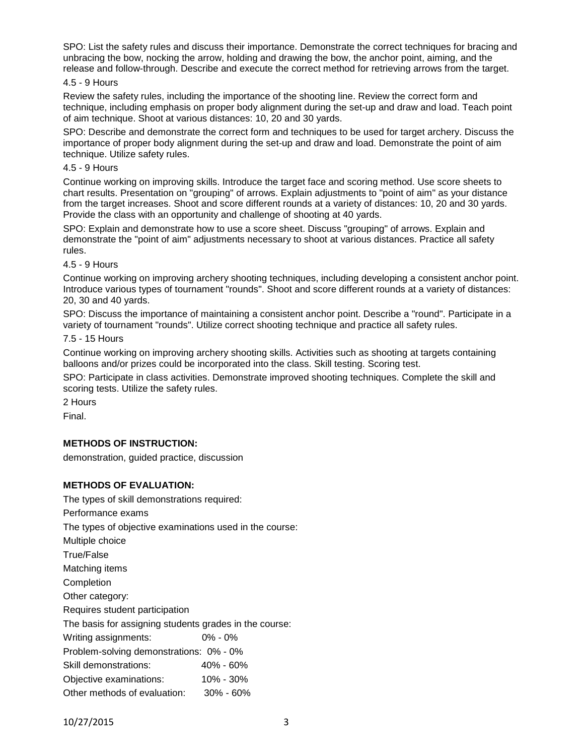SPO: List the safety rules and discuss their importance. Demonstrate the correct techniques for bracing and unbracing the bow, nocking the arrow, holding and drawing the bow, the anchor point, aiming, and the release and follow-through. Describe and execute the correct method for retrieving arrows from the target.

#### 4.5 - 9 Hours

Review the safety rules, including the importance of the shooting line. Review the correct form and technique, including emphasis on proper body alignment during the set-up and draw and load. Teach point of aim technique. Shoot at various distances: 10, 20 and 30 yards.

SPO: Describe and demonstrate the correct form and techniques to be used for target archery. Discuss the importance of proper body alignment during the set-up and draw and load. Demonstrate the point of aim technique. Utilize safety rules.

### 4.5 - 9 Hours

Continue working on improving skills. Introduce the target face and scoring method. Use score sheets to chart results. Presentation on "grouping" of arrows. Explain adjustments to "point of aim" as your distance from the target increases. Shoot and score different rounds at a variety of distances: 10, 20 and 30 yards. Provide the class with an opportunity and challenge of shooting at 40 yards.

SPO: Explain and demonstrate how to use a score sheet. Discuss "grouping" of arrows. Explain and demonstrate the "point of aim" adjustments necessary to shoot at various distances. Practice all safety rules.

### 4.5 - 9 Hours

Continue working on improving archery shooting techniques, including developing a consistent anchor point. Introduce various types of tournament "rounds". Shoot and score different rounds at a variety of distances: 20, 30 and 40 yards.

SPO: Discuss the importance of maintaining a consistent anchor point. Describe a "round". Participate in a variety of tournament "rounds". Utilize correct shooting technique and practice all safety rules.

### 7.5 - 15 Hours

Continue working on improving archery shooting skills. Activities such as shooting at targets containing balloons and/or prizes could be incorporated into the class. Skill testing. Scoring test.

SPO: Participate in class activities. Demonstrate improved shooting techniques. Complete the skill and scoring tests. Utilize the safety rules.

2 Hours

Final.

## **METHODS OF INSTRUCTION:**

demonstration, guided practice, discussion

## **METHODS OF EVALUATION:**

The types of skill demonstrations required: Performance exams The types of objective examinations used in the course: Multiple choice True/False Matching items Completion Other category: Requires student participation The basis for assigning students grades in the course: Writing assignments: 0% - 0% Problem-solving demonstrations: 0% - 0% Skill demonstrations: 40% - 60% Objective examinations: 10% - 30% Other methods of evaluation: 30% - 60%